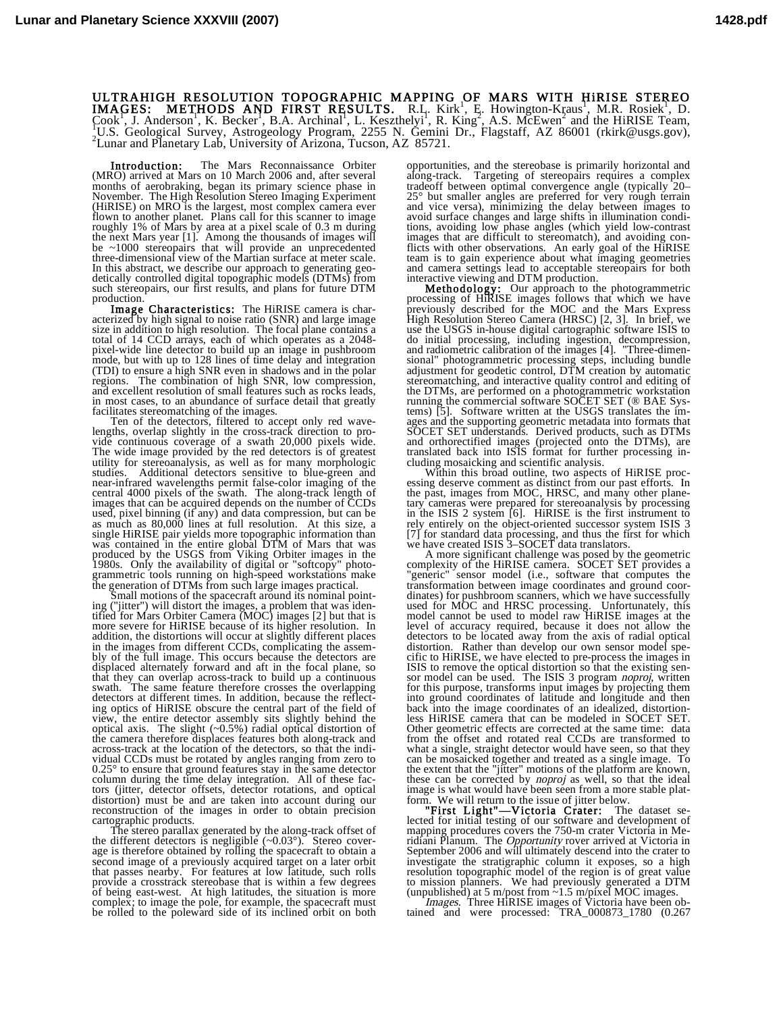## ULTRAHIGH RESOLUTION TOPOGRAPHIC MAPPING OF MARS WITH HIRISE STEREO<br>IMAGES: METHODS AND FIRST RESULTS. R.I. Kirk<sup>1</sup>, E. Howington-Kraus<sup>1</sup>, M.R. Rosiek<sup>1</sup>, D.<br>Cook<sup>1</sup>, J. Anderson , K. Becker<sup>1</sup>, B.A. Archinal<sup>1</sup>, L. Keszt <sup>1</sup>U.S. Geological Survey, Astrogeology Program, 2255 N. Gemini Dr., Flagstaff, AZ 86001 (rkirk@usgs.gov), <sup>2</sup>Lyner and Planatory Lab University of Arizona Tyssen, AZ 85721. <sup>2</sup> Lunar and Planetary Lab, University of Arizona, Tucson, AZ 85721.

Introduction: The Mars Reconnaissance Orbiter (MRO) arrived at Mars on 10 March 2006 and, after several months of aerobraking, began its primary science phase in November. The High Resolution Stereo Imaging Experiment (HiRISE) on MRO is the largest, most complex camera ever flown to another planet. Plans call for this scanner to image roughly 1% of Mars by area at a pixel scale of 0.3 m during the next Mars year [1]. Among the thousands of images will be ~1000 stereopairs that will provide an unprecedented three-dimensional view of the Martian surface at meter scale. In this abstract, we describe our approach to generating geodetically controlled digital topographic models (DTMs) from such stereopairs, our first results, and plans for future DTM production.

Image Characteristics: The HiRISE camera is characterized by high signal to noise ratio (SNR) and large image size in addition to high resolution. The focal plane contains a total of 14 CCD arrays, each of which operates as a 2048 pixel-wide line detector to build up an image in pushbroom mode, but with up to 128 lines of time delay and integration (TDI) to ensure a high SNR even in shadows and in the polar regions. The combination of high SNR, low compression, and excellent resolution of small features such as rocks leads, in most cases, to an abundance of surface detail that greatly facilitates stereomatching of the images.

Ten of the detectors, filtered to accept only red wavelengths, overlap slightly in the cross-track direction to provide continuous coverage of a swath 20,000 pixels wide. The wide image provided by the red detectors is of greatest utility for stereoanalysis, as well as for many morphologic studies. Additional detectors sensitive to blue-green and near-infrared wavelengths permit false-color imaging of the central 4000 pixels of the swath. The along-track length of images that can be acquired depends on the number of CCDs used, pixel binning (if any) and data compression, but can be as much as 80,000 lines at full resolution. At this size, a single HiRISE pair yields more topographic information than was contained in the entire global DTM of Mars that was produced by the USGS from Viking Orbiter images in the 1980s. Only the availability of digital or "softcopy" photo-grammetric tools running on high-speed workstations make

the generation of DTMs from such large images practical. Small motions of the spacecraft around its nominal point- ing ("jitter") will distort the images, a problem that was identified for Mars Orbiter Camera (MOC) images [2] but that is more severe for HiRISE because of its higher resolution. In addition, the distortions will occur at slightly different places in the images from different CCDs, complicating the assembly of the full image. This occurs because the detectors are displaced alternately forward and aft in the focal plane, so that they can overlap across-track to build up a continuous swath. The same feature therefore crosses the overlapping detectors at different times. In addition, because the reflecting optics of HiRISE obscure the central part of the field of view, the entire detector assembly sits slightly behind the optical axis. The slight (~0.5%) radial optical distortion of the camera therefore displaces features both along-track and across-track at the location of the detectors, so that the individual CCDs must be rotated by angles ranging from zero to 0.25° to ensure that ground features stay in the same detector column during the time delay integration. All of these fac-tors (jitter, detector offsets, detector rotations, and optical distortion) must be and are taken into account during our reconstruction of the images in order to obtain precision cartographic products.

The stereo parallax generated by the along-track offset of the different detectors is negligible  $(\sim 0.03^{\circ})$ . Stereo coverage is therefore obtained by rolling the spacecraft to obtain a second image of a previously acquired target on a later orbit that passes nearby. For features at low latitude, such rolls provide a crosstrack stereobase that is within a few degrees of being east-west. At high latitudes, the situation is more complex; to image the pole, for example, the spacecraft must be rolled to the poleward side of its inclined orbit on both

opportunities, and the stereobase is primarily horizontal and along-track. Targeting of stereopairs requires a complex tradeoff between optimal convergence angle (typically 20– 25° but smaller angles are preferred for very rough terrain and vice versa), minimizing the delay between images to avoid surface changes and large shifts in illumination conditions, avoiding low phase angles (which yield low-contrast images that are difficult to stereomatch), and avoiding conflicts with other observations. An early goal of the HiRISE team is to gain experience about what imaging geometries and camera settings lead to acceptable stereopairs for both interactive viewing and DTM production.

Methodology: Our approach to the photogrammetric processing of HiRISE images follows that which we have previously described for the MOC and the Mars Express High Resolution Stereo Camera (HRSC) [2, 3]. In brief, we use the USGS in-house digital cartographic software ISIS to do initial processing, including ingestion, decompression, and radiometric calibration of the images [4]. "Three-dimensional" photogrammetric processing steps, including bundle adjustment for geodetic control, DTM creation by automatic stereomatching, and interactive quality control and editing of the DTMs, are performed on a photogrammetric workstation running the commercial software SOCET SET (® BAE Systems) [5]. Software written at the USGS translates the im-ages and the supporting geometric metadata into formats that SOCET SET understands. Derived products, such as DTMs and orthorectified images (projected onto the DTMs), are translated back into ISIS format for further processing in-

cluding mosaicking and scientific analysis.<br>Within this broad outline, two aspects of HiRISE proc-<br>essing deserve comment as distinct from our past efforts. In the past, images from MOC, HRSC, and many other plane-tary cameras were prepared for stereoanalysis by processing in the ISIS 2 system [6]. HiRISE is the first instrument to rely entirely on the object-oriented successor system ISIS 3 [7] for standard data processing, and thus the first for which we have created ISIS 3–SOCET data translators.

A more significant challenge was posed by the geometric complexity of the HiRISE camera. SOCET SET provides a "generic" sensor model (i.e., software that computes the transformation between image coordinates and ground coordinates) for pushbroom scanners, which we have successfully used for MOC and HRSC processing. Unfortunately, this model cannot be used to model raw HiRISE images at the level of accuracy required, because it does not allow the detectors to be located away from the axis of radial optical distortion. Rather than develop our own sensor model specific to HiRISE, we have elected to pre-process the images in ISIS to remove the optical distortion so that the existing sensor model can be used. The ISIS 3 program noproj, written for this purpose, transforms input images by projecting them into ground coordinates of latitude and longitude and then back into the image coordinates of an idealized, distortionless HiRISE camera that can be modeled in SOCET SET. Other geometric effects are corrected at the same time: data from the offset and rotated real CCDs are transformed to what a single, straight detector would have seen, so that they can be mosaicked together and treated as a single image. To the extent that the "jitter" motions of the platform are known, these can be corrected by *noproj* as well, so that the ideal image is what would have been seen from a more stable plat-

form. We will return to the issue of jitter below.<br>"First Light"—Victoria Crater: The dataset se-<br>lected for initial testing of our software and development of mapping procedures covers the 750-m crater Victoria in Me-<br>ridiani Planum. The *Opportunity* rover arrived at Victoria in<br>September 2006 and will ultimately descend into the crater to investigate the stratigraphic column it exposes, so a high resolution topographic model of the region is of great value to mission planners. We had previously generated a DTM

(unpublished) at 5 m/post from ~1.5 m/pixel MOC images. Images. Three HiRISE images of Victoria have been ob- tained and were processed: TRA\_000873\_1780 (0.267